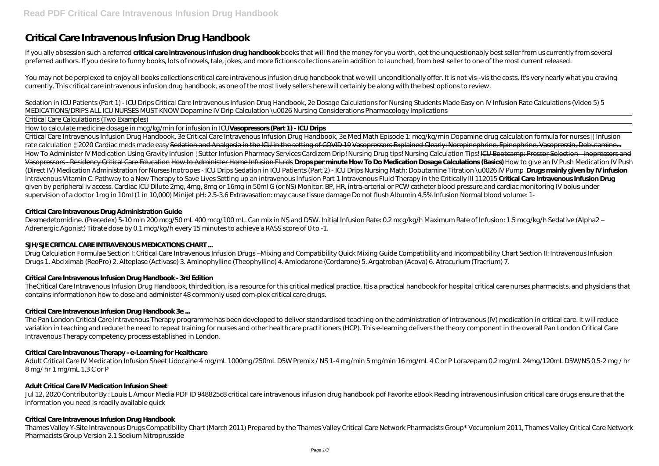# **Critical Care Intravenous Infusion Drug Handbook**

If you ally obsession such a referred **critical care intravenous infusion drug handbook** books that will find the money for you worth, get the unquestionably best seller from us currently from several preferred authors. If you desire to funny books, lots of novels, tale, jokes, and more fictions collections are in addition to launched, from best seller to one of the most current released.

You may not be perplexed to enjoy all books collections critical care intravenous infusion drug handbook that we will unconditionally offer. It is not vis--vis the costs. It's very nearly what you craving currently. This critical care intravenous infusion drug handbook, as one of the most lively sellers here will certainly be along with the best options to review.

*Sedation in ICU Patients (Part 1) - ICU Drips Critical Care Intravenous Infusion Drug Handbook, 2e Dosage Calculations for Nursing Students Made Easy on IV Infusion Rate Calculations (Video 5) 5 MEDICATIONS/DRIPS ALL ICU NURSES MUST KNOW Dopamine IV Drip Calculation \u0026 Nursing Considerations Pharmacology Implications*

#### Critical Care Calculations (Two Examples)

How to calculate medicine dosage in mcg/kg/min for infusion in ICU**Vasopressors (Part 1) - ICU Drips**

Dexmedetomidine. (Precedex) 5-10 min 200 mcg/50 mL 400 mcg/100 mL. Can mix in NS and D5W. Initial Infusion Rate: 0.2 mcg/kg/h Maximum Rate of Infusion: 1.5 mcg/kg/h Sedative (Alpha2 – Adrenergic Agonist) Titrate dose by 0.1 mcg/kg/h every 15 minutes to achieve a RASS score of 0 to -1.

Drug Calculation Formulae Section I: Critical Care Intravenous Infusion Drugs-Mixing and Compatibility Quick Mixing Guide Compatibility and Incompatibility Chart Section II: Intravenous Infusion Drugs 1. Abciximab (ReoPro) 2. Alteplase (Activase) 3. Aminophylline (Theophylline) 4. Amiodarone (Cordarone) 5. Argatroban (Acova) 6. Atracurium (Tracrium) 7.

Critical Care Intravenous Infusion Drug Handbook, 3e Critical Care Intravenous Infusion Drug Handbook, 3e Med Math Episode 1: mcg/kg/min *Dopamine drug calculation formula for nurses || Infusion* rate calculation  $\mu$  2020 Cardiac meds made easy Sedation and Analgesia in the ICU in the setting of COVID 19 Vasopressors Explained Clearly: Norepinephrine, Epinephrine, Vasopressin, Dobutamine... How To Administer IV Medication Using Gravity Infusion | Sutter Infusion Pharmacy Services Cardizem Drip! Nursing Drug tips! Nursing Calculation Tips! ICU Bootcamp: Pressor Selection - Inopressors and Vasopressors - Residency Critical Care Education How to Administer Home Infusion Fluids **Drops per minute How To Do Medication Dosage Calculations (Basics)** How to give an IV Push Medication IV Push (Direct IV) Medication Administration for Nurses Inotropes - ICU Drips *Sedation in ICU Patients (Part 2) - ICU Drips* Nursing Math: Dobutamine Titration \u0026 IV Pump **Drugs mainly given by IV infusion** Intravenous Vitamin C: Pathway to a New Therapy to Save Lives Setting up an intravenous Infusion Part 1 Intravenous Fluid Therapy in the Critically III 112015 Critical Care Intravenous Infusion Drug given by peripheral iv access. Cardiac ICU Dilute 2mg, 4mg, 8mg or 16mg in 50ml G (or NS) Monitor: BP, HR, intra-arterial or PCW catheter blood pressure and cardiac monitoring IV bolus under supervision of a doctor 1mg in 10ml (1 in 10,000) Minijet pH: 2.5-3.6 Extravasation: may cause tissue damage Do not flush Albumin 4.5% Infusion Normal blood volume: 1-

Jul 12, 2020 Contributor By: Louis L Amour Media PDF ID 948825c8 critical care intravenous infusion drug handbook pdf Favorite eBook Reading intravenous infusion critical care drugs ensure that the information you need is readily available quick

### **Critical Care Intravenous Drug Administration Guide**

### **SJH/SJE CRITICAL CARE INTRAVENOUS MEDICATIONS CHART ...**

### **Critical Care Intravenous Infusion Drug Handbook - 3rd Edition**

TheCritical Care Intravenous Infusion Drug Handbook, thirdedition, is a resource for this critical medical practice. Itis a practical handbook for hospital critical care nurses,pharmacists, and physicians that contains informationon how to dose and administer 48 commonly used com-plex critical care drugs.

### **Critical Care Intravenous Infusion Drug Handbook 3e ...**

The Pan London Critical Care Intravenous Therapy programme has been developed to deliver standardised teaching on the administration of intravenous (IV) medication in critical care. It will reduce variation in teaching and reduce the need to repeat training for nurses and other healthcare practitioners (HCP). This e-learning delivers the theory component in the overall Pan London Critical Care Intravenous Therapy competency process established in London.

### **Critical Care Intravenous Therapy - e-Learning for Healthcare**

Adult Critical Care IV Medication Infusion Sheet Lidocaine 4 mg/mL 1000mg/250mL D5W Premix / NS 1-4 mg/min 5 mg/min 16 mg/mL 4 C or P Lorazepam 0.2 mg/mL 24mg/120mL D5W/NS 0.5-2 mg / hr 8 mg/ hr 1 mg/mL 1,3 C or P

### **Adult Critical Care IV Medication Infusion Sheet**

### **Critical Care Intravenous Infusion Drug Handbook**

Thames Valley Y-Site Intravenous Drugs Compatibility Chart (March 2011) Prepared by the Thames Valley Critical Care Network Pharmacists Group\* Vecuronium 2011, Thames Valley Critical Care Network Pharmacists Group Version 2.1 Sodium Nitroprusside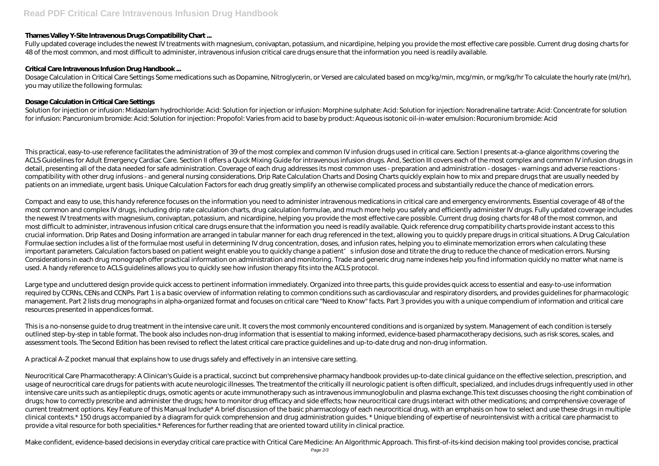### **Thames Valley Y-Site Intravenous Drugs Compatibility Chart ...**

Fully updated coverage includes the newest IV treatments with magnesium, conivaptan, potassium, and nicardipine, helping you provide the most effective care possible. Current drug dosing charts for 48 of the most common, and most difficult to administer, intravenous infusion critical care drugs ensure that the information you need is readily available.

Dosage Calculation in Critical Care Settings Some medications such as Dopamine, Nitroglycerin, or Versed are calculated based on mcg/kg/min, mcg/min, or mg/kg/hr To calculate the hourly rate (ml/hr), you may utilize the following formulas:

#### **Critical Care Intravenous Infusion Drug Handbook ...**

Solution for injection or infusion: Midazolam hydrochloride: Acid: Solution for injection or infusion: Morphine sulphate: Acid: Solution for injection: Noradrenaline tartrate: Acid: Concentrate for solution for infusion: Pancuronium bromide: Acid: Solution for injection: Propofol: Varies from acid to base by product: Aqueous isotonic oil-in-water emulsion: Rocuronium bromide: Acid

This practical, easy-to-use reference facilitates the administration of 39 of the most complex and common IV infusion drugs used in critical care. Section I presents at-a-glance algorithms covering the ACLS Guidelines for Adult Emergency Cardiac Care. Section II offers a Quick Mixing Guide for intravenous infusion drugs. And, Section III covers each of the most complex and common IV infusion drugs in detail, presenting all of the data needed for safe administration. Coverage of each drug addresses its most common uses - preparation and administration - dosages - warnings and adverse reactions compatibility with other drug infusions - and general nursing considerations. Drip Rate Calculation Charts and Dosing Charts quickly explain how to mix and prepare drugs that are usually needed by patients on an immediate, urgent basis. Unique Calculation Factors for each drug greatly simplify an otherwise complicated process and substantially reduce the chance of medication errors.

### **Dosage Calculation in Critical Care Settings**

Large type and uncluttered design provide quick access to pertinent information immediately. Organized into three parts, this quide provides quick access to essential and easy-to-use information required by CCRNs, CENs and CCNPs. Part 1 is a basic overview of information relating to common conditions such as cardiovascular and respiratory disorders, and provides quidelines for pharmacologic management. Part 2 lists drug monographs in alpha-organized format and focuses on critical care "Need to Know" facts. Part 3 provides you with a unique compendium of information and critical care resources presented in appendices format.

Compact and easy to use, this handy reference focuses on the information you need to administer intravenous medications in critical care and emergency environments. Essential coverage of 48 of the most common and complex IV drugs, including drip rate calculation charts, drug calculation formulae, and much more help you safely and efficiently administer IV drugs. Fully updated coverage includes the newest IV treatments with magnesium, conivaptan, potassium, and nicardipine, helping you provide the most effective care possible. Current drug dosing charts for 48 of the most common, and most difficult to administer, intravenous infusion critical care drugs ensure that the information you need is readily available. Quick reference drug compatibility charts provide instant access to this crucial information. Drip Rates and Dosing information are arranged in tabular manner for each drug referenced in the text, allowing you to quickly prepare drugs in critical situations. A Drug Calculation Formulae section includes a list of the formulae most useful in determining IV drug concentration, doses, and infusion rates, helping you to eliminate memorization errors when calculating these important parameters. Calculation factors based on patient weight enable you to quickly change a patient' sinfusion dose and titrate the drug to reduce the chance of medication errors. Nursing Considerations in each drug monograph offer practical information on administration and monitoring. Trade and generic drug name indexes help you find information quickly no matter what name is used. A handy reference to ACLS guidelines allows you to quickly see how infusion therapy fits into the ACLS protocol.

Neurocritical Care Pharmacotherapy: A Clinican's Guide is a practical, succinct but comprehensive pharmacy handbook provides up-to-date clinical quidance on the effective selection, prescription, and usage of neurocritical care drugs for patients with acute neurologic illnesses. The treatmentof the critically ill neurologic patient is often difficult, specialized, and includes drugs infrequently used in other intensive care units such as antiepileptic drugs, osmotic agents or acute immunotherapy such as intravenous immunoglobulin and plasma exchange.This text discusses choosing the right combination of drugs; how to correctly prescribe and administer the drugs; how to monitor drug efficacy and side effects; how neurocritical care drugs interact with other medications; and comprehensive coverage of current treatment options. Key Feature of this Manual Include\* A brief discussion of the basic pharmacology of each neurocritical drug, with an emphasis on how to select and use these drugs in multiple clinical contexts.\* 150 drugs accompanied by a diagram for quick comprehension and drug administration guides. \* Unique blending of expertise of neurointensivist with a critical care pharmacist to provide a vital resource for both specialities.\* References for further reading that are oriented toward utility in clinical practice.

This is a no-nonsense guide to drug treatment in the intensive care unit. It covers the most commonly encountered conditions and is organized by system. Management of each condition is tersely outlined step-by-step in table format. The book also includes non-drug information that is essential to making informed, evidence-based pharmacotherapy decisions, such as risk scores, scales, and assessment tools. The Second Edition has been revised to reflect the latest critical care practice guidelines and up-to-date drug and non-drug information.

A practical A-Z pocket manual that explains how to use drugs safely and effectively in an intensive care setting.

Make confident, evidence-based decisions in everyday critical care practice with Critical Care Medicine: An Algorithmic Approach. This first-of-its-kind decision making tool provides concise, practical